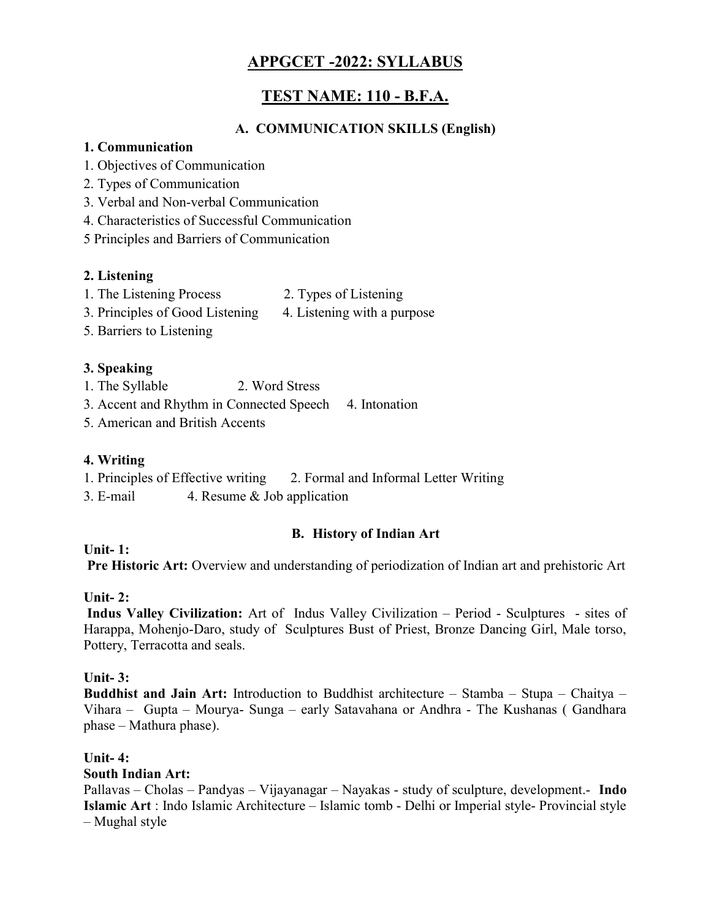# APPGCET -2022: SYLLABUS

# TEST NAME: 110 - B.F.A.

## A. COMMUNICATION SKILLS (English)

### 1. Communication

- 1. Objectives of Communication
- 2. Types of Communication
- 3. Verbal and Non-verbal Communication
- 4. Characteristics of Successful Communication
- 5 Principles and Barriers of Communication

## 2. Listening

- 1. The Listening Process 2. Types of Listening
- 3. Principles of Good Listening 4. Listening with a purpose
- 5. Barriers to Listening

## 3. Speaking

- 1. The Syllable 2. Word Stress
- 3. Accent and Rhythm in Connected Speech 4. Intonation
- 5. American and British Accents

## 4. Writing

- 1. Principles of Effective writing 2. Formal and Informal Letter Writing
- 3. E-mail 4. Resume & Job application

## B. History of Indian Art

Unit- 1:

Pre Historic Art: Overview and understanding of periodization of Indian art and prehistoric Art

## Unit- $2:$

 Indus Valley Civilization: Art of Indus Valley Civilization – Period - Sculptures - sites of Harappa, Mohenjo-Daro, study of Sculptures Bust of Priest, Bronze Dancing Girl, Male torso, Pottery, Terracotta and seals.

## Unit- $3:$

Buddhist and Jain Art: Introduction to Buddhist architecture – Stamba – Stupa – Chaitya – Vihara – Gupta – Mourya- Sunga – early Satavahana or Andhra - The Kushanas ( Gandhara phase – Mathura phase).

## Unit- $4:$

## South Indian Art:

Pallavas – Cholas – Pandyas – Vijayanagar – Nayakas - study of sculpture, development.- **Indo** Islamic Art : Indo Islamic Architecture – Islamic tomb - Delhi or Imperial style- Provincial style – Mughal style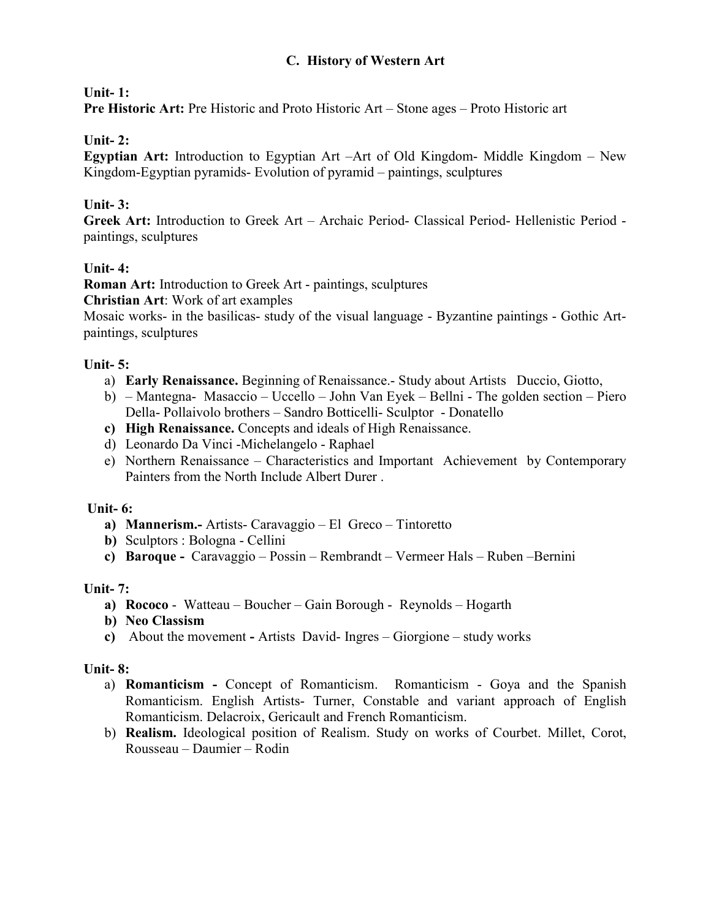### C. History of Western Art

### Unit- 1:

Pre Historic Art: Pre Historic and Proto Historic Art – Stone ages – Proto Historic art

### Unit- 2:

Egyptian Art: Introduction to Egyptian Art –Art of Old Kingdom- Middle Kingdom – New Kingdom-Egyptian pyramids- Evolution of pyramid – paintings, sculptures

### Unit- 3:

Greek Art: Introduction to Greek Art – Archaic Period- Classical Period- Hellenistic Period paintings, sculptures

### Unit- 4:

Roman Art: Introduction to Greek Art - paintings, sculptures

Christian Art: Work of art examples

Mosaic works- in the basilicas- study of the visual language - Byzantine paintings - Gothic Artpaintings, sculptures

#### Unit- $5:$

- a) Early Renaissance. Beginning of Renaissance.- Study about Artists Duccio, Giotto,
- b) Mantegna- Masaccio Uccello John Van Eyek Bellni The golden section Piero Della- Pollaivolo brothers – Sandro Botticelli- Sculptor - Donatello
- c) High Renaissance. Concepts and ideals of High Renaissance.
- d) Leonardo Da Vinci -Michelangelo Raphael
- e) Northern Renaissance Characteristics and Important Achievement by Contemporary Painters from the North Include Albert Durer .

#### Unit- 6:

- a) Mannerism.- Artists- Caravaggio El Greco Tintoretto
- b) Sculptors : Bologna Cellini
- c) Baroque Caravaggio Possin Rembrandt Vermeer Hals Ruben –Bernini

#### Unit- 7:

- a) Rococo Watteau Boucher Gain Borough Reynolds Hogarth
- b) Neo Classism
- c) About the movement Artists David- Ingres Giorgione study works

#### Unit- 8:

- a) Romanticism Concept of Romanticism. Romanticism Goya and the Spanish Romanticism. English Artists- Turner, Constable and variant approach of English Romanticism. Delacroix, Gericault and French Romanticism.
- b) Realism. Ideological position of Realism. Study on works of Courbet. Millet, Corot, Rousseau – Daumier – Rodin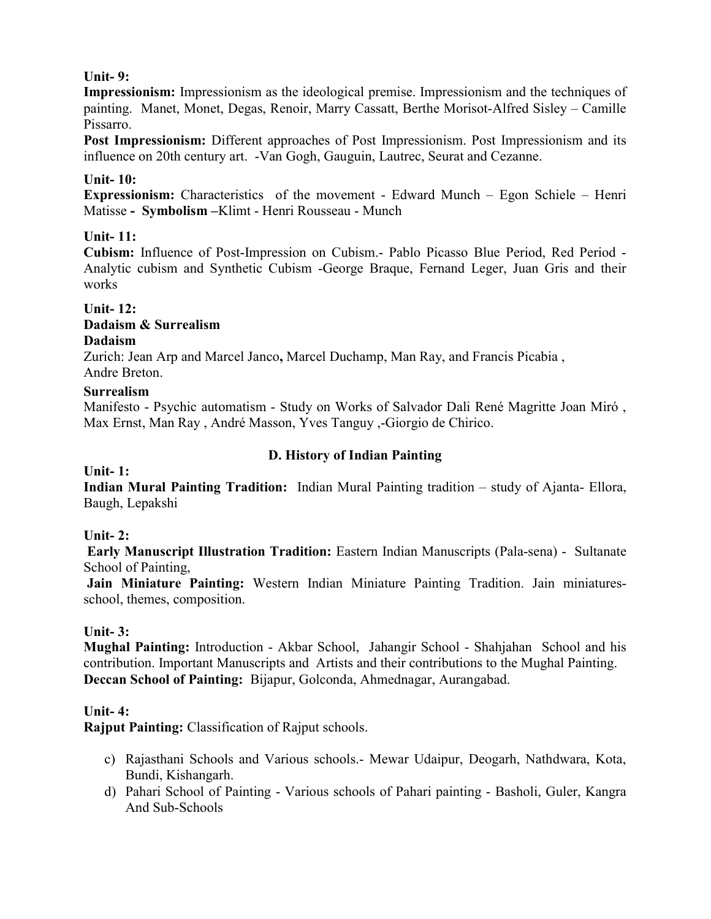### Unit- 9:

Impressionism: Impressionism as the ideological premise. Impressionism and the techniques of painting. Manet, Monet, Degas, Renoir, Marry Cassatt, Berthe Morisot-Alfred Sisley – Camille Pissarro.

Post Impressionism: Different approaches of Post Impressionism. Post Impressionism and its influence on 20th century art. -Van Gogh, Gauguin, Lautrec, Seurat and Cezanne.

#### Unit- 10:

Expressionism: Characteristics of the movement - Edward Munch – Egon Schiele – Henri Matisse - Symbolism –Klimt - Henri Rousseau - Munch

### Unit- 11:

Cubism: Influence of Post-Impression on Cubism.- Pablo Picasso Blue Period, Red Period - Analytic cubism and Synthetic Cubism -George Braque, Fernand Leger, Juan Gris and their works

## Unit- 12:

#### Dadaism & Surrealism Dadaism

Zurich: Jean Arp and Marcel Janco, Marcel Duchamp, Man Ray, and Francis Picabia , Andre Breton.

#### **Surrealism**

Manifesto - Psychic automatism - Study on Works of Salvador Dali René Magritte Joan Miró , Max Ernst, Man Ray , André Masson, Yves Tanguy ,-Giorgio de Chirico.

### D. History of Indian Painting

#### Unit- 1:

Indian Mural Painting Tradition: Indian Mural Painting tradition – study of Ajanta- Ellora, Baugh, Lepakshi

## Unit- $2:$

 Early Manuscript Illustration Tradition: Eastern Indian Manuscripts (Pala-sena) - Sultanate School of Painting,

Jain Miniature Painting: Western Indian Miniature Painting Tradition. Jain miniaturesschool, themes, composition.

## Unit- 3:

Mughal Painting: Introduction - Akbar School, Jahangir School - Shahjahan School and his contribution. Important Manuscripts and Artists and their contributions to the Mughal Painting. Deccan School of Painting: Bijapur, Golconda, Ahmednagar, Aurangabad.

#### Unit- $4:$

Rajput Painting: Classification of Rajput schools.

- c) Rajasthani Schools and Various schools.- Mewar Udaipur, Deogarh, Nathdwara, Kota, Bundi, Kishangarh.
- d) Pahari School of Painting Various schools of Pahari painting Basholi, Guler, Kangra And Sub-Schools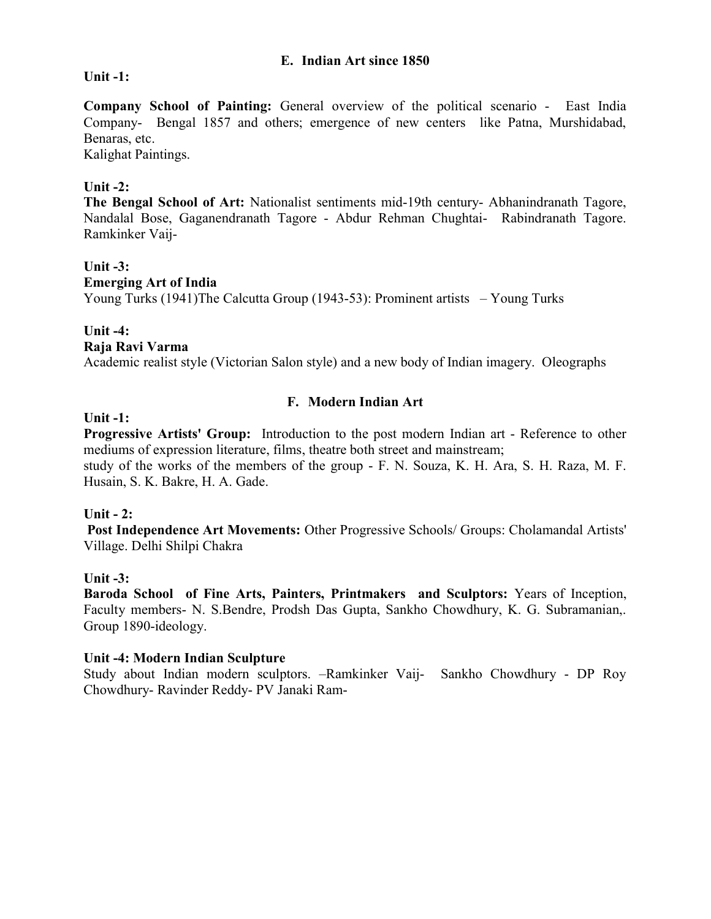#### E. Indian Art since 1850

#### Unit -1:

Company School of Painting: General overview of the political scenario - East India Company- Bengal 1857 and others; emergence of new centers like Patna, Murshidabad, Benaras, etc.

Kalighat Paintings.

#### Unit -2:

The Bengal School of Art: Nationalist sentiments mid-19th century- Abhanindranath Tagore, Nandalal Bose, Gaganendranath Tagore - Abdur Rehman Chughtai- Rabindranath Tagore. Ramkinker Vaij-

#### Unit  $-3$ :

#### Emerging Art of India

Young Turks (1941)The Calcutta Group (1943-53): Prominent artists – Young Turks

#### Unit -4:

#### Raja Ravi Varma

Academic realist style (Victorian Salon style) and a new body of Indian imagery. Oleographs

#### F. Modern Indian Art

#### Unit -1:

Progressive Artists' Group: Introduction to the post modern Indian art - Reference to other mediums of expression literature, films, theatre both street and mainstream; study of the works of the members of the group - F. N. Souza, K. H. Ara, S. H. Raza, M. F.

Husain, S. K. Bakre, H. A. Gade.

#### Unit  $-2$ :

 Post Independence Art Movements: Other Progressive Schools/ Groups: Cholamandal Artists' Village. Delhi Shilpi Chakra

#### Unit  $-3$ :

Baroda School of Fine Arts, Painters, Printmakers and Sculptors: Years of Inception, Faculty members- N. S.Bendre, Prodsh Das Gupta, Sankho Chowdhury, K. G. Subramanian,. Group 1890-ideology.

#### Unit -4: Modern Indian Sculpture

Study about Indian modern sculptors. –Ramkinker Vaij- Sankho Chowdhury - DP Roy Chowdhury- Ravinder Reddy- PV Janaki Ram-